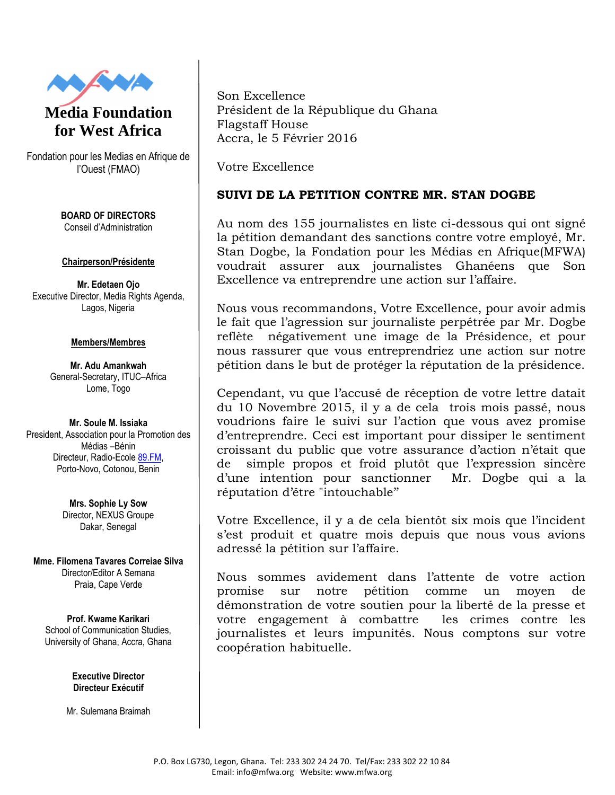

## **Media Foundation for West Africa**

Fondation pour les Medias en Afrique de l'Ouest (FMAO)

> **BOARD OF DIRECTORS** Conseil d'Administration

## **Chairperson/Présidente**

**Mr. Edetaen Ojo** Executive Director, Media Rights Agenda, Lagos, Nigeria

## **Members/Membres**

**Mr. Adu Amankwah** General-Secretary, ITUC–Africa Lome, Togo

**Mr. Soule M. Issiaka** President, Association pour la Promotion des Médias –Bénin Directeur, Radio-Ecole 89.FM, Porto-Novo, Cotonou, Benin

> **Mrs. Sophie Ly Sow** Director, NEXUS Groupe Dakar, Senegal

**Mme. Filomena Tavares Correiae Silva** Director/Editor A Semana Praia, Cape Verde

**Prof. Kwame Karikari** School of Communication Studies, University of Ghana, Accra, Ghana

> **Executive Director Directeur Exécutif**

Mr. Sulemana Braimah

Son Excellence Président de la République du Ghana Flagstaff House Accra, le 5 Février 2016

Votre Excellence

## **SUIVI DE LA PETITION CONTRE MR. STAN DOGBE**

Au nom des 155 journalistes en liste ci-dessous qui ont signé la pétition demandant des sanctions contre votre employé, Mr. Stan Dogbe, la Fondation pour les Médias en Afrique(MFWA) voudrait assurer aux journalistes Ghanéens que Son Excellence va entreprendre une action sur l'affaire.

Nous vous recommandons, Votre Excellence, pour avoir admis le fait que l'agression sur journaliste perpétrée par Mr. Dogbe reflète négativement une image de la Présidence, et pour nous rassurer que vous entreprendriez une action sur notre pétition dans le but de protéger la réputation de la présidence.

Cependant, vu que l'accusé de réception de votre lettre datait du 10 Novembre 2015, il y a de cela trois mois passé, nous voudrions faire le suivi sur l'action que vous avez promise d'entreprendre. Ceci est important pour dissiper le sentiment croissant du public que votre assurance d'action n'était que de simple propos et froid plutôt que l'expression sincère d'une intention pour sanctionner Mr. Dogbe qui a la réputation d'être "intouchable''

Votre Excellence, il y a de cela bientôt six mois que l'incident s'est produit et quatre mois depuis que nous vous avions adressé la pétition sur l'affaire.

Nous sommes avidement dans l'attente de votre action promise sur notre pétition comme un moyen de démonstration de votre soutien pour la liberté de la presse et votre engagement à combattre les crimes contre les journalistes et leurs impunités. Nous comptons sur votre coopération habituelle.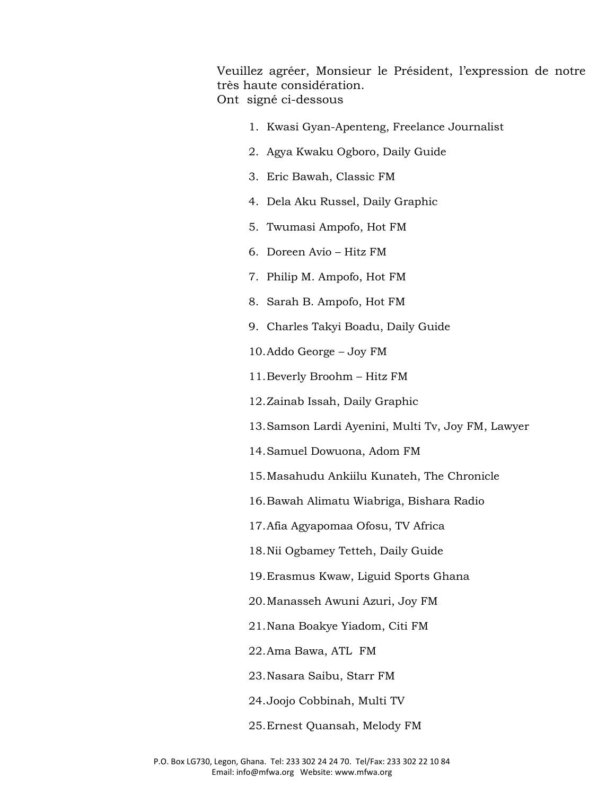Veuillez agréer, Monsieur le Président, l'expression de notre très haute considération. Ont signé ci-dessous

- 1. Kwasi Gyan-Apenteng, Freelance Journalist
- 2. Agya Kwaku Ogboro, Daily Guide
- 3. Eric Bawah, Classic FM
- 4. Dela Aku Russel, Daily Graphic
- 5. Twumasi Ampofo, Hot FM
- 6. Doreen Avio Hitz FM
- 7. Philip M. Ampofo, Hot FM
- 8. Sarah B. Ampofo, Hot FM
- 9. Charles Takyi Boadu, Daily Guide
- 10.Addo George Joy FM
- 11.Beverly Broohm Hitz FM
- 12.Zainab Issah, Daily Graphic
- 13.Samson Lardi Ayenini, Multi Tv, Joy FM, Lawyer
- 14.Samuel Dowuona, Adom FM
- 15.Masahudu Ankiilu Kunateh, The Chronicle
- 16.Bawah Alimatu Wiabriga, Bishara Radio
- 17.Afia Agyapomaa Ofosu, TV Africa
- 18.Nii Ogbamey Tetteh, Daily Guide
- 19.Erasmus Kwaw, Liguid Sports Ghana
- 20.Manasseh Awuni Azuri, Joy FM
- 21.Nana Boakye Yiadom, Citi FM
- 22.Ama Bawa, ATL FM
- 23.Nasara Saibu, Starr FM
- 24.Joojo Cobbinah, Multi TV
- 25.Ernest Quansah, Melody FM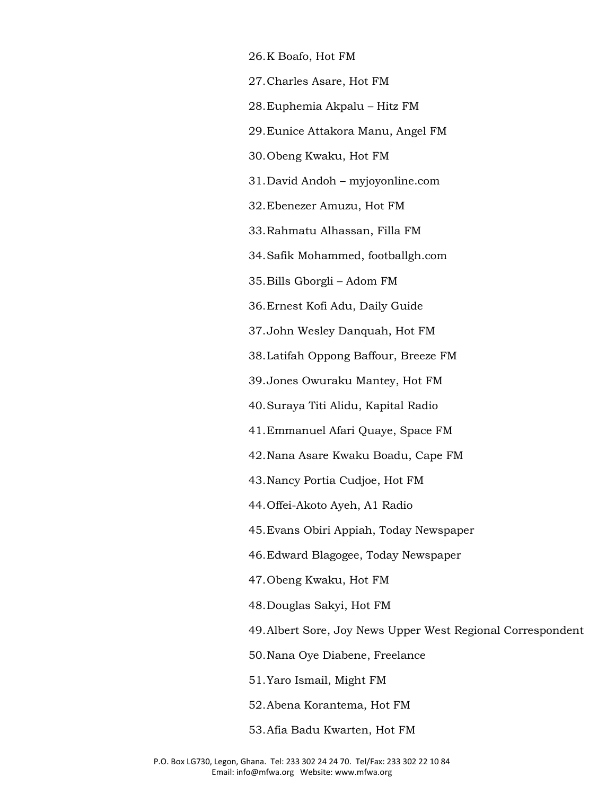26.K Boafo, Hot FM

27.Charles Asare, Hot FM

28.Euphemia Akpalu – Hitz FM

29.Eunice Attakora Manu, Angel FM

30.Obeng Kwaku, Hot FM

31.David Andoh – myjoyonline.com

32.Ebenezer Amuzu, Hot FM

33.Rahmatu Alhassan, Filla FM

34.Safik Mohammed, footballgh.com

35.Bills Gborgli – Adom FM

36.Ernest Kofi Adu, Daily Guide

37.John Wesley Danquah, Hot FM

38.Latifah Oppong Baffour, Breeze FM

39.Jones Owuraku Mantey, Hot FM

40.Suraya Titi Alidu, Kapital Radio

41.Emmanuel Afari Quaye, Space FM

42.Nana Asare Kwaku Boadu, Cape FM

43.Nancy Portia Cudjoe, Hot FM

44.Offei-Akoto Ayeh, A1 Radio

45.Evans Obiri Appiah, Today Newspaper

46.Edward Blagogee, Today Newspaper

47.Obeng Kwaku, Hot FM

48.Douglas Sakyi, Hot FM

49.Albert Sore, Joy News Upper West Regional Correspondent

50.Nana Oye Diabene, Freelance

51.Yaro Ismail, Might FM

52.Abena Korantema, Hot FM

53.Afia Badu Kwarten, Hot FM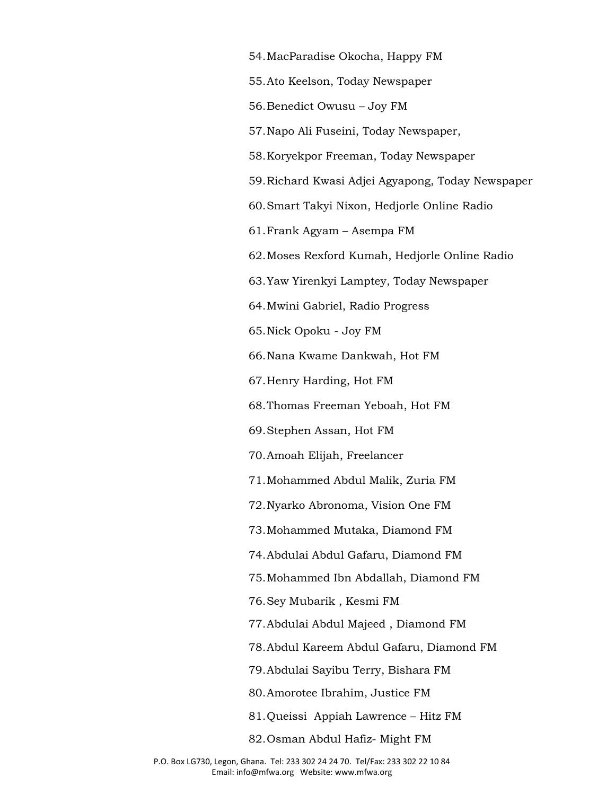54.MacParadise Okocha, Happy FM 55.Ato Keelson, Today Newspaper 56.Benedict Owusu – Joy FM 57.Napo Ali Fuseini, Today Newspaper, 58.Koryekpor Freeman, Today Newspaper 59.Richard Kwasi Adjei Agyapong, Today Newspaper 60.Smart Takyi Nixon, Hedjorle Online Radio 61.Frank Agyam – Asempa FM 62.Moses Rexford Kumah, Hedjorle Online Radio 63.Yaw Yirenkyi Lamptey, Today Newspaper 64.Mwini Gabriel, Radio Progress 65.Nick Opoku - Joy FM 66.Nana Kwame Dankwah, Hot FM 67.Henry Harding, Hot FM 68.Thomas Freeman Yeboah, Hot FM 69.Stephen Assan, Hot FM 70.Amoah Elijah, Freelancer 71.Mohammed Abdul Malik, Zuria FM 72.Nyarko Abronoma, Vision One FM 73.Mohammed Mutaka, Diamond FM 74.Abdulai Abdul Gafaru, Diamond FM 75.Mohammed Ibn Abdallah, Diamond FM 76.Sey Mubarik , Kesmi FM 77.Abdulai Abdul Majeed , Diamond FM 78.Abdul Kareem Abdul Gafaru, Diamond FM 79.Abdulai Sayibu Terry, Bishara FM 80.Amorotee Ibrahim, Justice FM

81.Queissi Appiah Lawrence – Hitz FM

82.Osman Abdul Hafiz- Might FM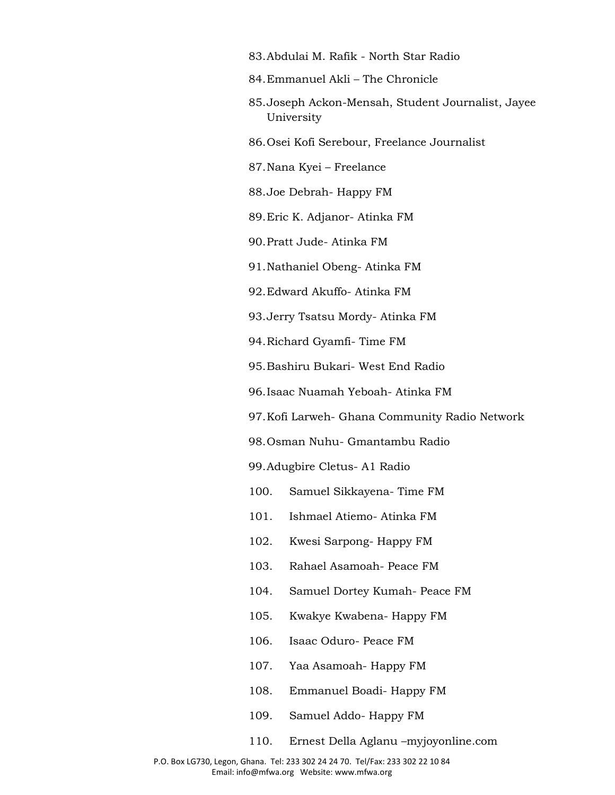- 83.Abdulai M. Rafik North Star Radio
- 84.Emmanuel Akli The Chronicle
- 85.Joseph Ackon-Mensah, Student Journalist, Jayee University
- 86.Osei Kofi Serebour, Freelance Journalist
- 87.Nana Kyei Freelance
- 88.Joe Debrah- Happy FM
- 89.Eric K. Adjanor- Atinka FM
- 90.Pratt Jude- Atinka FM
- 91.Nathaniel Obeng- Atinka FM
- 92.Edward Akuffo- Atinka FM
- 93.Jerry Tsatsu Mordy- Atinka FM
- 94.Richard Gyamfi- Time FM
- 95.Bashiru Bukari- West End Radio
- 96.Isaac Nuamah Yeboah- Atinka FM
- 97.Kofi Larweh- Ghana Community Radio Network
- 98.Osman Nuhu- Gmantambu Radio
- 99.Adugbire Cletus- A1 Radio
- 100. Samuel Sikkayena- Time FM
- 101. Ishmael Atiemo- Atinka FM
- 102. Kwesi Sarpong- Happy FM
- 103. Rahael Asamoah- Peace FM
- 104. Samuel Dortey Kumah- Peace FM
- 105. Kwakye Kwabena- Happy FM
- 106. Isaac Oduro- Peace FM
- 107. Yaa Asamoah- Happy FM
- 108. Emmanuel Boadi- Happy FM
- 109. Samuel Addo- Happy FM
- 110. Ernest Della Aglanu –myjoyonline.com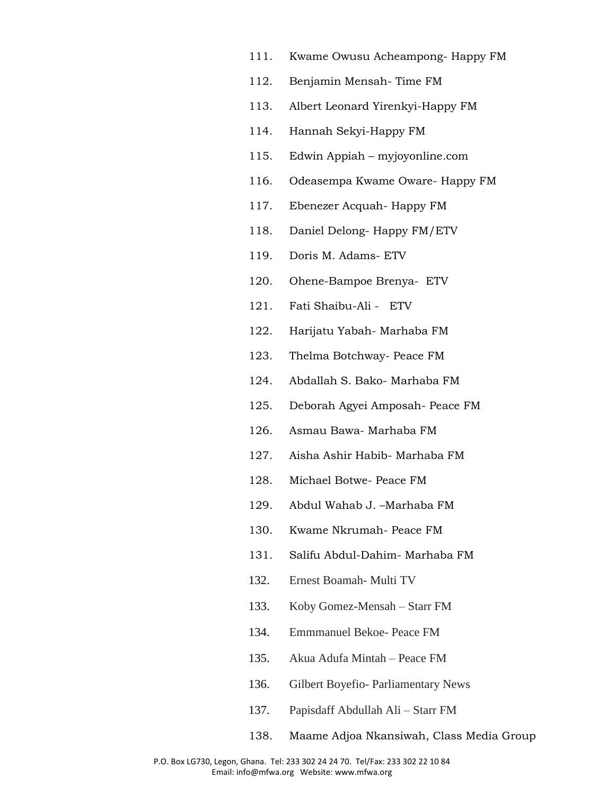- 111. Kwame Owusu Acheampong- Happy FM
- 112. Benjamin Mensah- Time FM
- 113. Albert Leonard Yirenkyi-Happy FM
- 114. Hannah Sekyi-Happy FM
- 115. Edwin Appiah myjoyonline.com
- 116. Odeasempa Kwame Oware- Happy FM
- 117. Ebenezer Acquah- Happy FM
- 118. Daniel Delong- Happy FM/ETV
- 119. Doris M. Adams- ETV
- 120. Ohene-Bampoe Brenya- ETV
- 121. Fati Shaibu-Ali ETV
- 122. Harijatu Yabah- Marhaba FM
- 123. Thelma Botchway- Peace FM
- 124. Abdallah S. Bako- Marhaba FM
- 125. Deborah Agyei Amposah- Peace FM
- 126. Asmau Bawa- Marhaba FM
- 127. Aisha Ashir Habib- Marhaba FM
- 128. Michael Botwe- Peace FM
- 129. Abdul Wahab J. –Marhaba FM
- 130. Kwame Nkrumah- Peace FM
- 131. Salifu Abdul-Dahim- Marhaba FM
- 132. Ernest Boamah- Multi TV
- 133. Koby Gomez-Mensah Starr FM
- 134. Emmmanuel Bekoe- Peace FM
- 135. Akua Adufa Mintah Peace FM
- 136. Gilbert Boyefio- Parliamentary News
- 137. Papisdaff Abdullah Ali Starr FM
- 138. [Maame Adjoa Nkansiwah,](https://www.facebook.com/maameadjoa.batidam?fref=nf) Class Media Group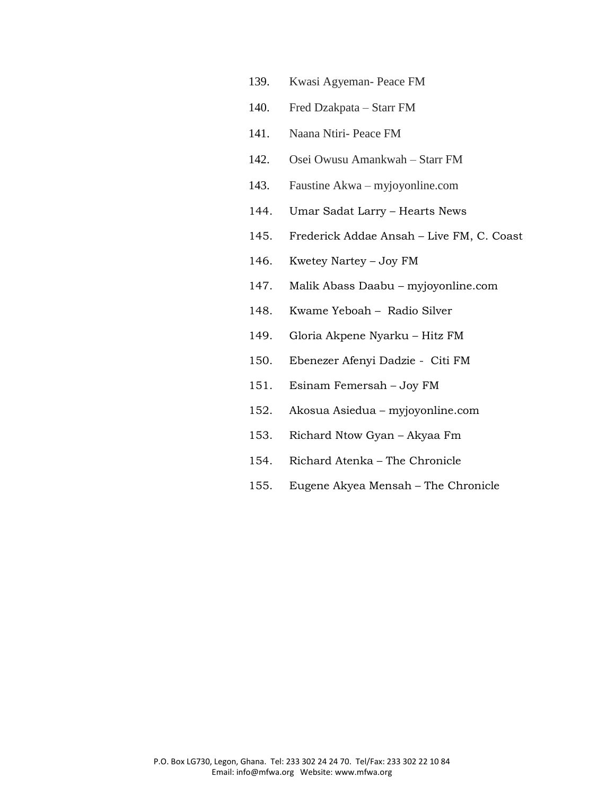- 139. Kwasi Agyeman- Peace FM
- 140. Fred Dzakpata Starr FM
- 141. Naana Ntiri- Peace FM
- 142. Osei Owusu Amankwah Starr FM
- 143. Faustine Akwa myjoyonline.com
- 144. Umar Sadat Larry Hearts News
- 145. Frederick Addae Ansah Live FM, C. Coast
- 146. Kwetey Nartey Joy FM
- 147. Malik Abass Daabu myjoyonline.com
- 148. Kwame Yeboah Radio Silver
- 149. Gloria Akpene Nyarku Hitz FM
- 150. Ebenezer Afenyi Dadzie Citi FM
- 151. Esinam Femersah Joy FM
- 152. Akosua Asiedua myjoyonline.com
- 153. Richard Ntow Gyan Akyaa Fm
- 154. Richard Atenka The Chronicle
- 155. Eugene Akyea Mensah The Chronicle